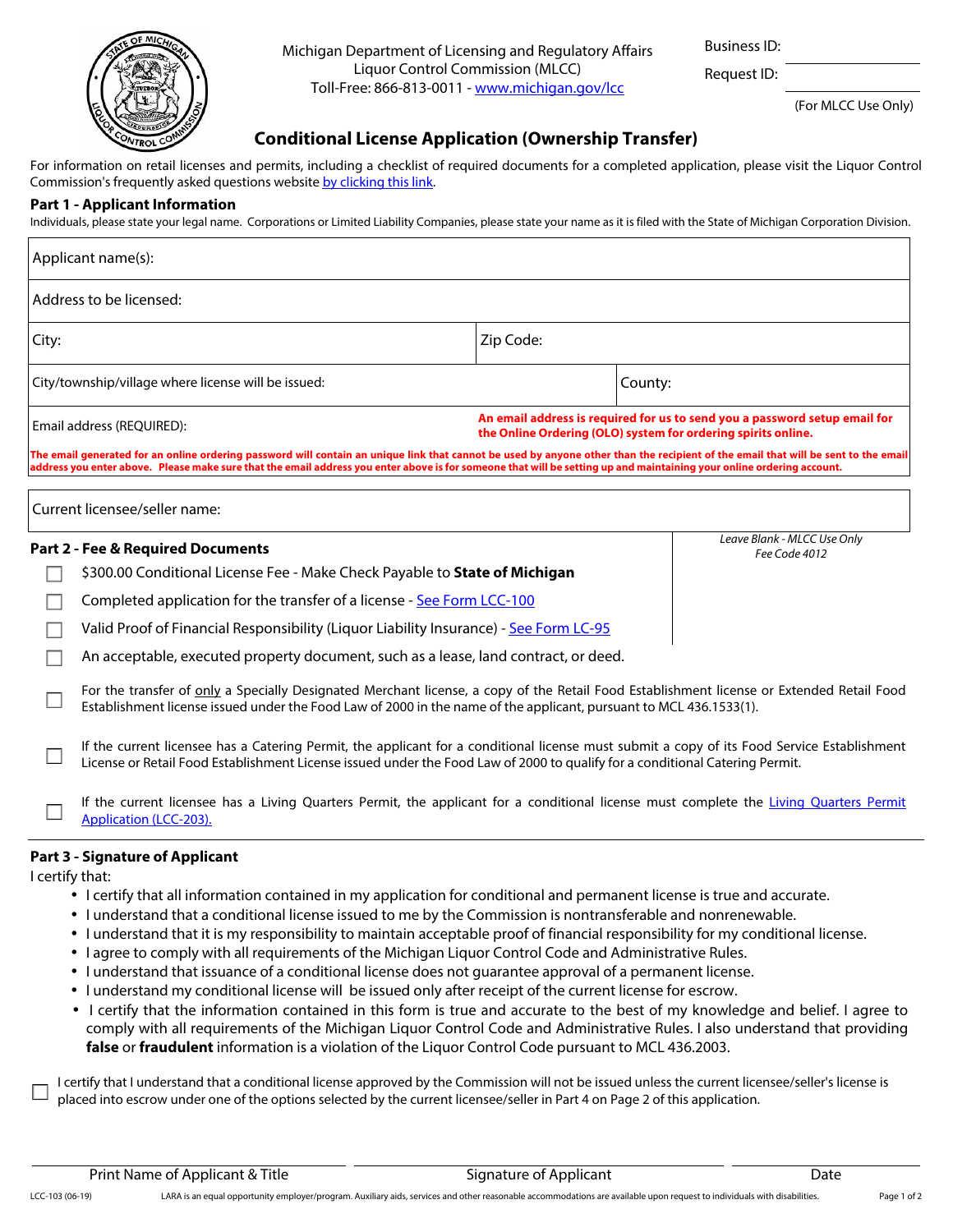

Michigan Department of Licensing and Regulatory Affairs Liquor Control Commission (MLCC) Toll-Free: 866-813-0011 - [www.michigan.gov/lcc](http://www.michigan.gov/lcc)

Business ID:

Request ID:

(For MLCC Use Only)

## **Conditional License Application (Ownership Transfer)**

For information on retail licenses and permits, including a checklist of required documents for a completed application, please visit the Liquor Control Commission's frequently asked questions website [by clicking this link](http://www.michigan.gov/lara/0,4601,7-154-10570_16941-40899--,00.html).

## **Part 1 - Applicant Information**

Individuals, please state your legal name. Corporations or Limited Liability Companies, please state your name as it is filed with the State of Michigan Corporation Division.

| Applicant name(s):                                                                                                                                                                                                                                                                                                                                          |                                                                                                                                                                                                                                                                             |                                                                                                                                             |         |                                              |  |  |
|-------------------------------------------------------------------------------------------------------------------------------------------------------------------------------------------------------------------------------------------------------------------------------------------------------------------------------------------------------------|-----------------------------------------------------------------------------------------------------------------------------------------------------------------------------------------------------------------------------------------------------------------------------|---------------------------------------------------------------------------------------------------------------------------------------------|---------|----------------------------------------------|--|--|
| Address to be licensed:                                                                                                                                                                                                                                                                                                                                     |                                                                                                                                                                                                                                                                             |                                                                                                                                             |         |                                              |  |  |
| City:                                                                                                                                                                                                                                                                                                                                                       |                                                                                                                                                                                                                                                                             | Zip Code:                                                                                                                                   |         |                                              |  |  |
| City/township/village where license will be issued:                                                                                                                                                                                                                                                                                                         |                                                                                                                                                                                                                                                                             |                                                                                                                                             | County: |                                              |  |  |
|                                                                                                                                                                                                                                                                                                                                                             | Email address (REQUIRED):                                                                                                                                                                                                                                                   | An email address is required for us to send you a password setup email for<br>the Online Ordering (OLO) system for ordering spirits online. |         |                                              |  |  |
| The email generated for an online ordering password will contain an unique link that cannot be used by anyone other than the recipient of the email that will be sent to the email<br>address you enter above. Please make sure that the email address you enter above is for someone that will be setting up and maintaining your online ordering account. |                                                                                                                                                                                                                                                                             |                                                                                                                                             |         |                                              |  |  |
|                                                                                                                                                                                                                                                                                                                                                             |                                                                                                                                                                                                                                                                             |                                                                                                                                             |         |                                              |  |  |
| Current licensee/seller name:                                                                                                                                                                                                                                                                                                                               |                                                                                                                                                                                                                                                                             |                                                                                                                                             |         |                                              |  |  |
|                                                                                                                                                                                                                                                                                                                                                             | <b>Part 2 - Fee &amp; Required Documents</b>                                                                                                                                                                                                                                |                                                                                                                                             |         | Leave Blank - MLCC Use Only<br>Fee Code 4012 |  |  |
|                                                                                                                                                                                                                                                                                                                                                             | \$300.00 Conditional License Fee - Make Check Payable to State of Michigan                                                                                                                                                                                                  |                                                                                                                                             |         |                                              |  |  |
|                                                                                                                                                                                                                                                                                                                                                             | Completed application for the transfer of a license - See Form LCC-100                                                                                                                                                                                                      |                                                                                                                                             |         |                                              |  |  |
|                                                                                                                                                                                                                                                                                                                                                             | Valid Proof of Financial Responsibility (Liquor Liability Insurance) - See Form LC-95                                                                                                                                                                                       |                                                                                                                                             |         |                                              |  |  |
|                                                                                                                                                                                                                                                                                                                                                             | An acceptable, executed property document, such as a lease, land contract, or deed.                                                                                                                                                                                         |                                                                                                                                             |         |                                              |  |  |
|                                                                                                                                                                                                                                                                                                                                                             | For the transfer of only a Specially Designated Merchant license, a copy of the Retail Food Establishment license or Extended Retail Food<br>Establishment license issued under the Food Law of 2000 in the name of the applicant, pursuant to MCL 436.1533(1).             |                                                                                                                                             |         |                                              |  |  |
|                                                                                                                                                                                                                                                                                                                                                             | If the current licensee has a Catering Permit, the applicant for a conditional license must submit a copy of its Food Service Establishment<br>License or Retail Food Establishment License issued under the Food Law of 2000 to qualify for a conditional Catering Permit. |                                                                                                                                             |         |                                              |  |  |
|                                                                                                                                                                                                                                                                                                                                                             | If the current licensee has a Living Quarters Permit, the applicant for a conditional license must complete the Living Quarters Permit<br>Application (LCC-203).                                                                                                            |                                                                                                                                             |         |                                              |  |  |

## **Part 3 - Signature of Applicant**

I certify that:

- I certify that all information contained in my application for conditional and permanent license is true and accurate.
- I understand that a conditional license issued to me by the Commission is nontransferable and nonrenewable.
- I understand that it is my responsibility to maintain acceptable proof of financial responsibility for my conditional license.
- I agree to comply with all requirements of the Michigan Liquor Control Code and Administrative Rules.
- I understand that issuance of a conditional license does not guarantee approval of a permanent license.
- I understand my conditional license will be issued only after receipt of the current license for escrow.
- I certify that the information contained in this form is true and accurate to the best of my knowledge and belief. I agree to comply with all requirements of the Michigan Liquor Control Code and Administrative Rules. I also understand that providing **false** or **fraudulent** information is a violation of the Liquor Control Code pursuant to MCL 436.2003.

I certify that I understand that a conditional license approved by the Commission will not be issued unless the current licensee/seller's license is placed into escrow under one of the options selected by the current licensee/seller in Part 4 on Page 2 of this application.